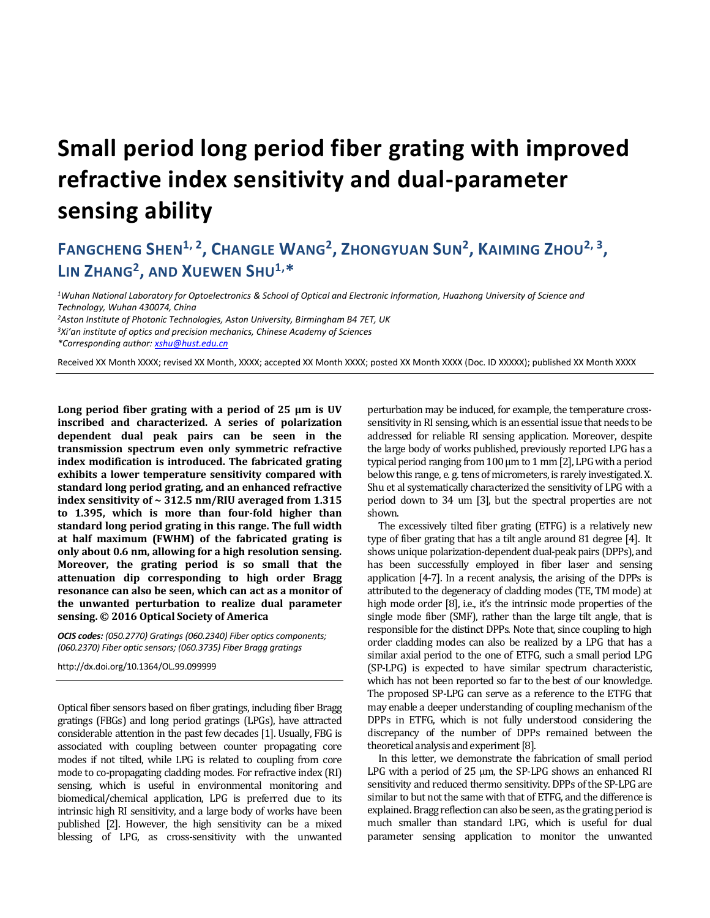## **Small period long period fiber grating with improved refractive index sensitivity and dual-parameter sensing ability**

## FANGCHENG SHEN<sup>1, 2</sup>, CHANGLE WANG<sup>2</sup>, ZHONGYUAN SUN<sup>2</sup>, KAIMING ZHOU<sup>2, 3</sup>, **LIN ZHANG<sup>2</sup> , AND XUEWEN SHU1,\***

*Wuhan National Laboratory for Optoelectronics & School of Optical and Electronic Information, Huazhong University of Science and Technology, Wuhan 430074, China Aston Institute of Photonic Technologies, Aston University, Birmingham B4 7ET, UK Xi'an institute of optics and precision mechanics, Chinese Academy of Sciences*

*\*Corresponding author[: xshu@hust.edu.cn](mailto:xshu@hust.edu.cn)*

Received XX Month XXXX; revised XX Month, XXXX; accepted XX Month XXXX; posted XX Month XXXX (Doc. ID XXXXX); published XX Month XXXX

**Long period fiber grating with a period of 25 μm is UV inscribed and characterized. A series of polarization dependent dual peak pairs can be seen in the transmission spectrum even only symmetric refractive index modification is introduced. The fabricated grating exhibits a lower temperature sensitivity compared with standard long period grating, and an enhanced refractive index sensitivity of ~ 312.5 nm/RIU averaged from 1.315 to 1.395, which is more than four-fold higher than standard long period grating in this range. The full width at half maximum (FWHM) of the fabricated grating is only about 0.6 nm, allowing for a high resolution sensing. Moreover, the grating period is so small that the attenuation dip corresponding to high order Bragg resonance can also be seen, which can act as a monitor of the unwanted perturbation to realize dual parameter sensing. © 2016 Optical Society of America**

*OCIS codes: (050.2770) Gratings (060.2340) Fiber optics components; (060.2370) Fiber optic sensors; (060.3735) Fiber Bragg gratings*

http://dx.doi.org/10.1364/OL.99.099999

Optical fiber sensors based on fiber gratings, including fiber Bragg gratings (FBGs) and long period gratings (LPGs), have attracted considerable attention in the past few decades [1]. Usually, FBG is associated with coupling between counter propagating core modes if not tilted, while LPG is related to coupling from core mode to co-propagating cladding modes. For refractive index (RI) sensing, which is useful in environmental monitoring and biomedical/chemical application, LPG is preferred due to its intrinsic high RI sensitivity, and a large body of works have been published [2]. However, the high sensitivity can be a mixed blessing of LPG, as cross-sensitivity with the unwanted

perturbation may be induced, for example, the temperature crosssensitivity in RI sensing, which is an essential issue that needs to be addressed for reliable RI sensing application. Moreover, despite the large body of works published, previously reported LPG has a typical period ranging from 100 µm to 1 mm [2], LPG with a period below this range, e. g. tens of micrometers, is rarely investigated. X. Shu et al systematically characterized the sensitivity of LPG with a period down to 34 um [3], but the spectral properties are not shown.

The excessively tilted fiber grating (ETFG) is a relatively new type of fiber grating that has a tilt angle around 81 degree [4]. It shows unique polarization-dependent dual-peak pairs (DPPs), and has been successfully employed in fiber laser and sensing application [4-7]. In a recent analysis, the arising of the DPPs is attributed to the degeneracy of cladding modes (TE, TM mode) at high mode order [8], i.e., it's the intrinsic mode properties of the single mode fiber (SMF), rather than the large tilt angle, that is responsible for the distinct DPPs. Note that, since coupling to high order cladding modes can also be realized by a LPG that has a similar axial period to the one of ETFG, such a small period LPG (SP-LPG) is expected to have similar spectrum characteristic, which has not been reported so far to the best of our knowledge. The proposed SP-LPG can serve as a reference to the ETFG that may enable a deeper understanding of coupling mechanism of the DPPs in ETFG, which is not fully understood considering the discrepancy of the number of DPPs remained between the theoretical analysis and experiment[8].

In this letter, we demonstrate the fabrication of small period LPG with a period of 25 μm, the SP-LPG shows an enhanced RI sensitivity and reduced thermo sensitivity. DPPs of the SP-LPG are similar to but not the same with that of ETFG, and the difference is explained. Bragg reflection can also be seen, as the grating period is much smaller than standard LPG, which is useful for dual parameter sensing application to monitor the unwanted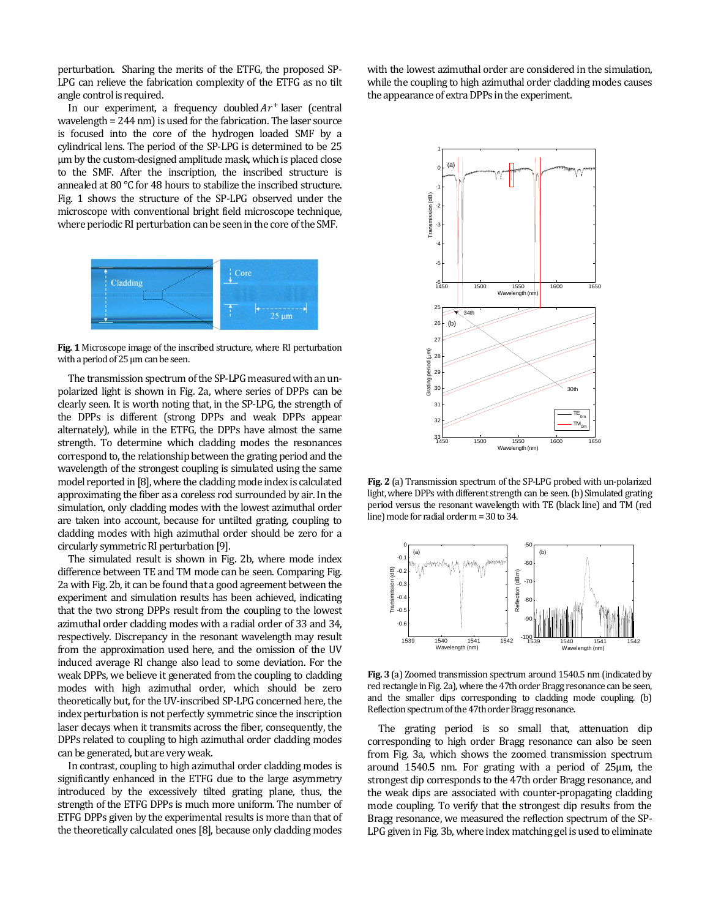perturbation. Sharing the merits of the ETFG, the proposed SP-LPG can relieve the fabrication complexity of the ETFG as no tilt angle control is required.

In our experiment, a frequency doubled  $Ar^+$  laser (central wavelength = 244 nm) is used for the fabrication. The laser source is focused into the core of the hydrogen loaded SMF by a cylindrical lens. The period of the SP-LPG is determined to be 25 μm by the custom-designed amplitude mask, which is placed close to the SMF. After the inscription, the inscribed structure is annealed at 80 ℃ for 48 hours to stabilize the inscribed structure. Fig. 1 shows the structure of the SP-LPG observed under the microscope with conventional bright field microscope technique, where periodic RI perturbation can be seen in the core of the SMF.



**Fig. 1** Microscope image of the inscribed structure, where RI perturbation with a period of 25 μm can be seen.

The transmission spectrum of the SP-LPG measured with an unpolarized light is shown in Fig. 2a, where series of DPPs can be clearly seen. It is worth noting that, in the SP-LPG, the strength of the DPPs is different (strong DPPs and weak DPPs appear alternately), while in the ETFG, the DPPs have almost the same strength. To determine which cladding modes the resonances correspond to, the relationship between the grating period and the wavelength of the strongest coupling is simulated using the same model reported in [8], where the cladding mode index is calculated approximating the fiber as a coreless rod surrounded by air. In the simulation, only cladding modes with the lowest azimuthal order are taken into account, because for untilted grating, coupling to cladding modes with high azimuthal order should be zero for a circularly symmetric RI perturbation[9].

The simulated result is shown in Fig. 2b, where mode index difference between TE and TM mode can be seen. Comparing Fig. 2a with Fig. 2b, it can be found that a good agreement between the experiment and simulation results has been achieved, indicating that the two strong DPPs result from the coupling to the lowest azimuthal order cladding modes with a radial order of 33 and 34, respectively. Discrepancy in the resonant wavelength may result from the approximation used here, and the omission of the UV induced average RI change also lead to some deviation. For the weak DPPs, we believe it generated from the coupling to cladding modes with high azimuthal order, which should be zero theoretically but, for the UV-inscribed SP-LPG concerned here, the index perturbation is not perfectly symmetric since the inscription laser decays when it transmits across the fiber, consequently, the DPPs related to coupling to high azimuthal order cladding modes can be generated, but are very weak.

In contrast, coupling to high azimuthal order cladding modes is significantly enhanced in the ETFG due to the large asymmetry introduced by the excessively tilted grating plane, thus, the strength of the ETFG DPPs is much more uniform. The number of ETFG DPPs given by the experimental results is more than that of the theoretically calculated ones [8], because only cladding modes with the lowest azimuthal order are considered in the simulation, while the coupling to high azimuthal order cladding modes causes the appearance of extra DPPs in the experiment.



**Fig. 2** (a) Transmission spectrum of the SP-LPG probed with un-polarized light, where DPPs with different strength can be seen. (b) Simulated grating period versus the resonant wavelength with TE (black line) and TM (red line) mode for radial order m = 30 to 34.



**Fig. 3** (a) Zoomed transmission spectrum around 1540.5 nm (indicated by red rectangle in Fig. 2a), where the 47th order Bragg resonance can be seen, and the smaller dips corresponding to cladding mode coupling. (b) Reflection spectrum of the 47th order Bragg resonance.

The grating period is so small that, attenuation dip corresponding to high order Bragg resonance can also be seen from Fig. 3a, which shows the zoomed transmission spectrum around 1540.5 nm. For grating with a period of 25μm, the strongest dip corresponds to the 47th order Bragg resonance, and the weak dips are associated with counter-propagating cladding mode coupling. To verify that the strongest dip results from the Bragg resonance, we measured the reflection spectrum of the SP-LPG given in Fig. 3b, where index matching gel is used to eliminate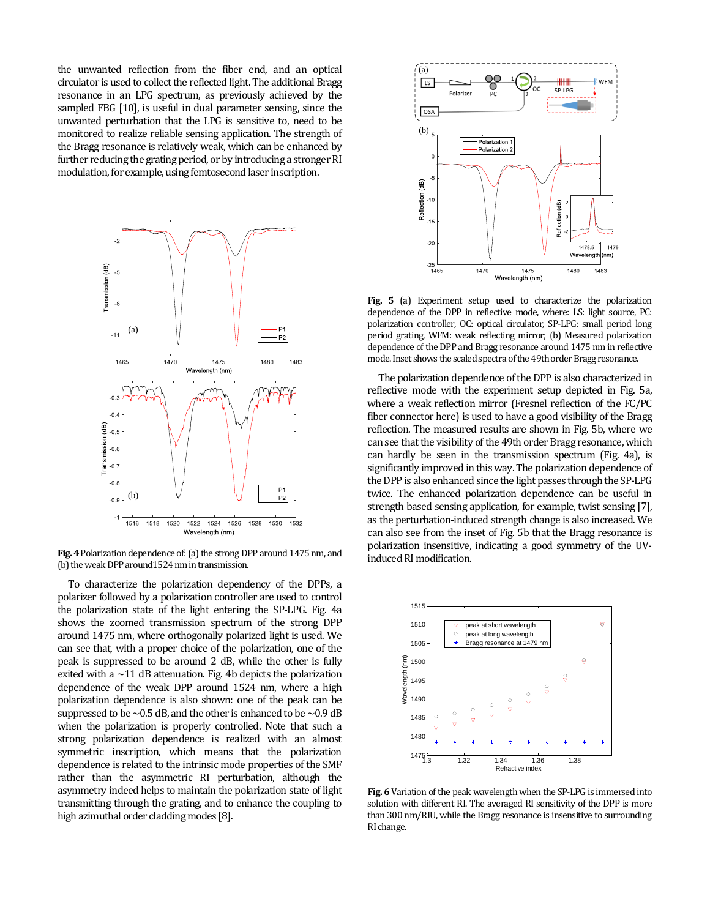the unwanted reflection from the fiber end, and an optical circulator is used to collect the reflected light. The additional Bragg resonance in an LPG spectrum, as previously achieved by the sampled FBG [10], is useful in dual parameter sensing, since the unwanted perturbation that the LPG is sensitive to, need to be monitored to realize reliable sensing application. The strength of the Bragg resonance is relatively weak, which can be enhanced by further reducing the grating period, or by introducing a stronger RI modulation, for example, using femtosecond laser inscription.



Fig. 4 Polarization dependence of: (a) the strong DPP around 1475 nm, and (b) the weak DPP around 1524 nm in transmission.

To characterize the polarization dependency of the DPPs, a polarizer followed by a polarization controller are used to control the polarization state of the light entering the SP-LPG. Fig. 4a shows the zoomed transmission spectrum of the strong DPP around 1475 nm, where orthogonally polarized light is used. We can see that, with a proper choice of the polarization, one of the peak is suppressed to be around 2 dB, while the other is fully exited with a  $\sim$ 11 dB attenuation. Fig. 4b depicts the polarization dependence of the weak DPP around 1524 nm, where a high polarization dependence is also shown: one of the peak can be suppressed to be  $\sim$  0.5 dB, and the other is enhanced to be  $\sim$  0.9 dB when the polarization is properly controlled. Note that such a strong polarization dependence is realized with an almost symmetric inscription, which means that the polarization dependence is related to the intrinsic mode properties of the SMF rather than the asymmetric RI perturbation, although the asymmetry indeed helps to maintain the polarization state of light transmitting through the grating, and to enhance the coupling to high azimuthal order cladding modes [8].



**Fig. 5** (a) Experiment setup used to characterize the polarization dependence of the DPP in reflective mode, where: LS: light source, PC: polarization controller, OC: optical circulator, SP-LPG: small period long period grating, WFM: weak reflecting mirror; (b) Measured polarization dependence of the DPP and Bragg resonance around 1475 nm in reflective mode. Inset shows the scaled spectra of the 49th order Bragg resonance.

The polarization dependence of the DPP is also characterized in reflective mode with the experiment setup depicted in Fig. 5a, where a weak reflection mirror (Fresnel reflection of the FC/PC fiber connector here) is used to have a good visibility of the Bragg reflection. The measured results are shown in Fig. 5b, where we can see that the visibility of the 49th order Bragg resonance, which can hardly be seen in the transmission spectrum (Fig. 4a), is significantly improved in this way. The polarization dependence of the DPP is also enhanced since the light passes through the SP-LPG twice. The enhanced polarization dependence can be useful in strength based sensing application, for example, twist sensing [7], as the perturbation-induced strength change is also increased. We can also see from the inset of Fig. 5b that the Bragg resonance is polarization insensitive, indicating a good symmetry of the UVinduced RI modification.



**Fig. 6** Variation of the peak wavelength when the SP-LPG is immersed into solution with different RI. The averaged RI sensitivity of the DPP is more than 300 nm/RIU, while the Bragg resonance is insensitive to surrounding RI change.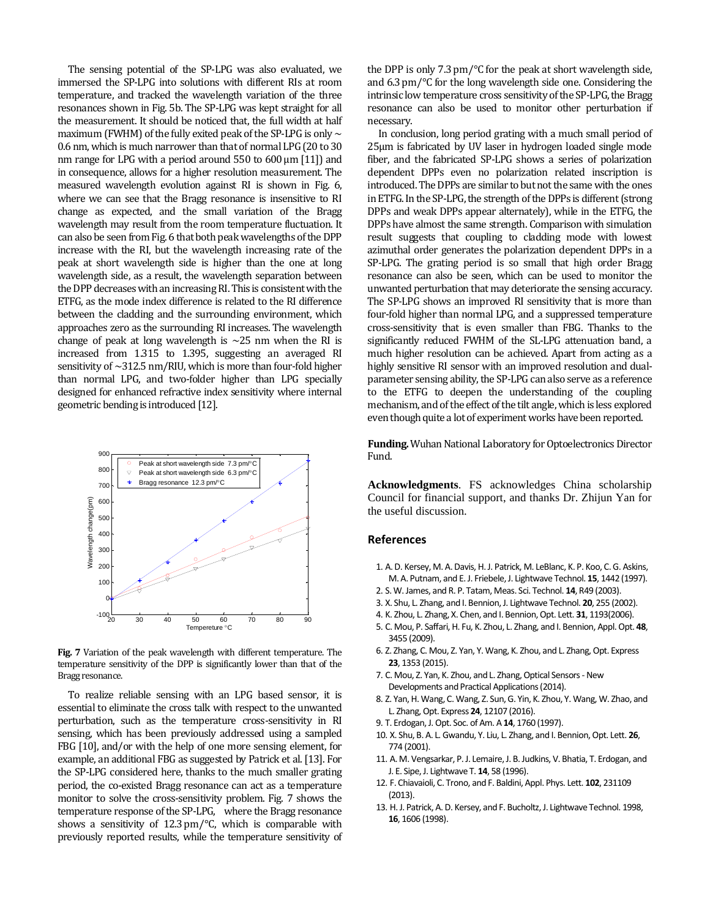The sensing potential of the SP-LPG was also evaluated, we immersed the SP-LPG into solutions with different RIs at room temperature, and tracked the wavelength variation of the three resonances shown in Fig. 5b. The SP-LPG was kept straight for all the measurement. It should be noticed that, the full width at half maximum (FWHM) of the fully exited peak of the SP-LPG is only  $\sim$ 0.6 nm, which is much narrower than that of normal LPG(20 to 30 nm range for LPG with a period around 550 to 600 μm [11]) and in consequence, allows for a higher resolution measurement. The measured wavelength evolution against RI is shown in Fig. 6, where we can see that the Bragg resonance is insensitive to RI change as expected, and the small variation of the Bragg wavelength may result from the room temperature fluctuation. It can also be seen from Fig. 6 that both peak wavelengths of the DPP increase with the RI, but the wavelength increasing rate of the peak at short wavelength side is higher than the one at long wavelength side, as a result, the wavelength separation between the DPP decreases with an increasing RI.This is consistent with the ETFG, as the mode index difference is related to the RI difference between the cladding and the surrounding environment, which approaches zero as the surrounding RI increases. The wavelength change of peak at long wavelength is  $\sim$ 25 nm when the RI is increased from 1.315 to 1.395, suggesting an averaged RI sensitivity of  $\sim$ 312.5 nm/RIU, which is more than four-fold higher than normal LPG, and two-folder higher than LPG specially designed for enhanced refractive index sensitivity where internal geometric bending is introduced[12].



**Fig. 7** Variation of the peak wavelength with different temperature. The temperature sensitivity of the DPP is significantly lower than that of the Bragg resonance.

To realize reliable sensing with an LPG based sensor, it is essential to eliminate the cross talk with respect to the unwanted perturbation, such as the temperature cross-sensitivity in RI sensing, which has been previously addressed using a sampled FBG [10], and/or with the help of one more sensing element, for example, an additional FBG as suggested by Patrick et al. [13]. For the SP-LPG considered here, thanks to the much smaller grating period, the co-existed Bragg resonance can act as a temperature monitor to solve the cross-sensitivity problem. Fig. 7 shows the temperature response of the SP-LPG, where the Bragg resonance shows a sensitivity of 12.3 pm/℃, which is comparable with previously reported results, while the temperature sensitivity of

the DPP is only 7.3 pm/℃ for the peak at short wavelength side, and 6.3 pm/℃ for the long wavelength side one. Considering the intrinsic low temperature cross sensitivity of the SP-LPG, the Bragg resonance can also be used to monitor other perturbation if necessary.

In conclusion, long period grating with a much small period of 25μm is fabricated by UV laser in hydrogen loaded single mode fiber, and the fabricated SP-LPG shows a series of polarization dependent DPPs even no polarization related inscription is introduced. The DPPs are similar to but not the same with the ones in ETFG. In the SP-LPG, the strength of the DPPs is different (strong DPPs and weak DPPs appear alternately), while in the ETFG, the DPPs have almost the same strength. Comparison with simulation result suggests that coupling to cladding mode with lowest azimuthal order generates the polarization dependent DPPs in a SP-LPG. The grating period is so small that high order Bragg resonance can also be seen, which can be used to monitor the unwanted perturbation that may deteriorate the sensing accuracy. The SP-LPG shows an improved RI sensitivity that is more than four-fold higher than normal LPG, and a suppressed temperature cross-sensitivity that is even smaller than FBG. Thanks to the significantly reduced FWHM of the SL-LPG attenuation band, a much higher resolution can be achieved. Apart from acting as a highly sensitive RI sensor with an improved resolution and dualparameter sensing ability, the SP-LPG can also serve as a reference to the ETFG to deepen the understanding of the coupling mechanism, and of the effect of the tilt angle, which is less explored even though quite a lot of experiment works have been reported.

**Funding.**Wuhan National Laboratory for Optoelectronics Director Fund.

**Acknowledgments**. FS acknowledges China scholarship Council for financial support, and thanks Dr. Zhijun Yan for the useful discussion.

## **References**

- 1. A. D. Kersey, M. A. Davis, H. J. Patrick, M. LeBlanc, K. P. Koo, C. G. Askins, M. A. Putnam, and E. J. Friebele,J. Lightwave Technol. **15**, 1442 (1997).
- 2. S. W. James, and R. P. Tatam, Meas. Sci. Technol. **14**, R49 (2003).
- 3. X. Shu, L. Zhang, and I. Bennion,J. Lightwave Technol. **20**, 255 (2002).
- 4. K. Zhou, L. Zhang, X. Chen, and I. Bennion, Opt. Lett. **31**, 1193(2006).
- 5. C. Mou, P. Saffari, H. Fu, K. Zhou, L. Zhang, and I. Bennion, Appl. Opt. **48**, 3455 (2009).
- 6. Z. Zhang, C. Mou, Z. Yan, Y. Wang, K. Zhou, and L. Zhang, Opt. Express **23**, 1353 (2015).
- 7. C. Mou, Z. Yan, K. Zhou, and L. Zhang, Optical Sensors New Developments and Practical Applications(2014).
- 8. Z. Yan, H. Wang, C. Wang, Z. Sun, G. Yin, K. Zhou, Y. Wang, W. Zhao, and L. Zhang, Opt. Express **24**, 12107 (2016).
- 9. T. Erdogan, J.Opt. Soc. of Am. A **14**, 1760 (1997).
- 10. X. Shu, B. A. L. Gwandu, Y. Liu, L. Zhang, and I. Bennion, Opt. Lett. **26**, 774 (2001).
- 11. A. M. Vengsarkar, P. J. Lemaire, J. B. Judkins, V. Bhatia, T. Erdogan, and J. E. Sipe, J. Lightwave T. **14**, 58 (1996).
- 12. F. Chiavaioli, C. Trono, and F. Baldini, Appl. Phys. Lett. **102**, 231109 (2013).
- 13. H. J. Patrick, A. D. Kersey, and F. Bucholtz, J. Lightwave Technol. 1998, **16**, 1606 (1998).